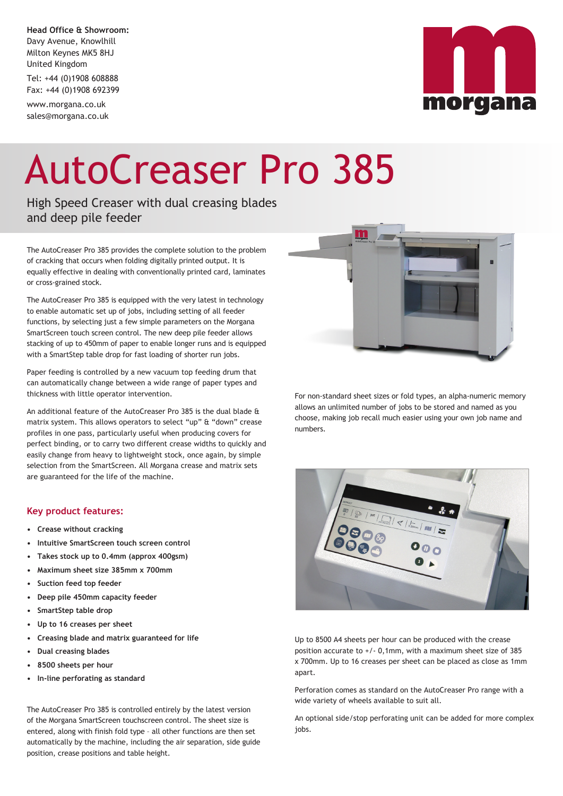**Head Office & Showroom:** Davy Avenue, Knowlhill Milton Keynes MK5 8HJ United Kingdom

Tel: +44 (0)1908 608888 Fax: +44 (0)1908 692399

www.morgana.co.uk sales@morgana.co.uk



## AutoCreaser Pro 385

High Speed Creaser with dual creasing blades and deep pile feeder

The AutoCreaser Pro 385 provides the complete solution to the problem of cracking that occurs when folding digitally printed output. It is equally effective in dealing with conventionally printed card, laminates or cross-grained stock.

The AutoCreaser Pro 385 is equipped with the very latest in technology to enable automatic set up of jobs, including setting of all feeder functions, by selecting just a few simple parameters on the Morgana SmartScreen touch screen control. The new deep pile feeder allows stacking of up to 450mm of paper to enable longer runs and is equipped with a SmartStep table drop for fast loading of shorter run jobs.

Paper feeding is controlled by a new vacuum top feeding drum that can automatically change between a wide range of paper types and thickness with little operator intervention.

An additional feature of the AutoCreaser Pro 385 is the dual blade & matrix system. This allows operators to select "up" & "down" crease profiles in one pass, particularly useful when producing covers for perfect binding, or to carry two different crease widths to quickly and easily change from heavy to lightweight stock, once again, by simple selection from the SmartScreen. All Morgana crease and matrix sets are guaranteed for the life of the machine.

## **Key product features:**

- **• Crease without cracking**
- **• Intuitive SmartScreen touch screen control**
- **• Takes stock up to 0.4mm (approx 400gsm)**
- **• Maximum sheet size 385mm x 700mm**
- **• Suction feed top feeder**
- **• Deep pile 450mm capacity feeder**
- **• SmartStep table drop**
- **• Up to 16 creases per sheet**
- **• Creasing blade and matrix guaranteed for life**
- **• Dual creasing blades**
- **• 8500 sheets per hour**
- **• In-line perforating as standard**

The AutoCreaser Pro 385 is controlled entirely by the latest version of the Morgana SmartScreen touchscreen control. The sheet size is entered, along with finish fold type – all other functions are then set automatically by the machine, including the air separation, side guide position, crease positions and table height.



For non-standard sheet sizes or fold types, an alpha-numeric memory allows an unlimited number of jobs to be stored and named as you choose, making job recall much easier using your own job name and numbers.



Up to 8500 A4 sheets per hour can be produced with the crease position accurate to +/- 0,1mm, with a maximum sheet size of 385 x 700mm. Up to 16 creases per sheet can be placed as close as 1mm apart.

Perforation comes as standard on the AutoCreaser Pro range with a wide variety of wheels available to suit all.

An optional side/stop perforating unit can be added for more complex iobs.